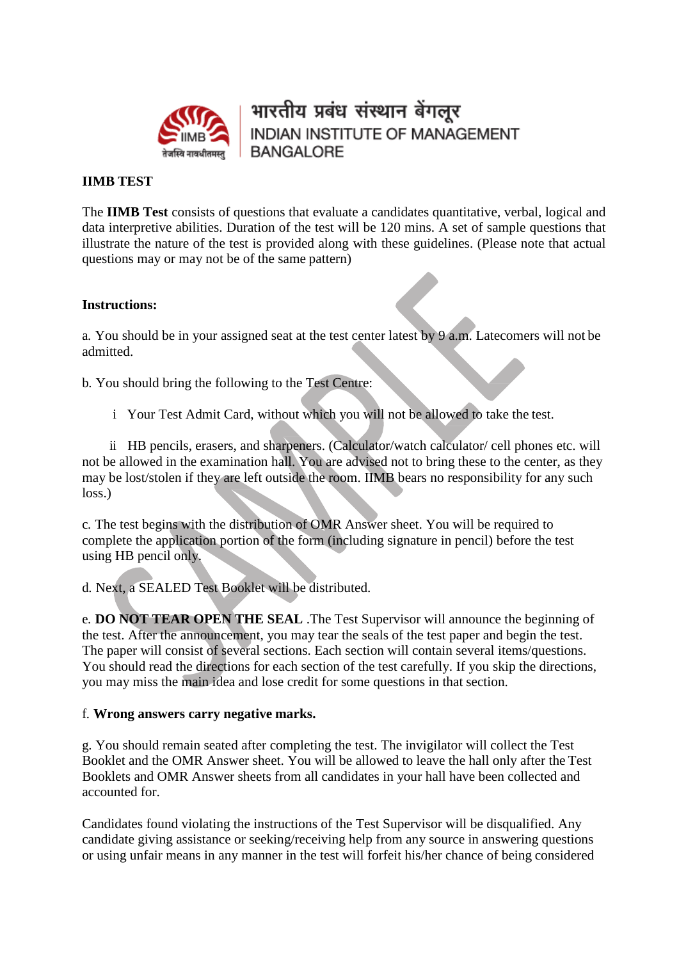

भारतीय प्रबंध संस्थान बेंगलूर **INDIAN INSTITUTE OF MANAGEMENT BANGALORE** 

## **IIMB TEST**

The **IIMB Test** consists of questions that evaluate a candidates quantitative, verbal, logical and data interpretive abilities. Duration of the test will be 120 mins. A set of sample questions that illustrate the nature of the test is provided along with these guidelines. (Please note that actual questions may or may not be of the same pattern)

## **Instructions:**

a. You should be in your assigned seat at the test center latest by 9 a.m. Latecomers will not be admitted.

b. You should bring the following to the Test Centre:

i Your Test Admit Card, without which you will not be allowed to take the test.

ii HB pencils, erasers, and sharpeners. (Calculator/watch calculator/ cell phones etc. will not be allowed in the examination hall. You are advised not to bring these to the center, as they may be lost/stolen if they are left outside the room. IIMB bears no responsibility for any such loss.)

c. The test begins with the distribution of OMR Answer sheet. You will be required to complete the application portion of the form (including signature in pencil) before the test using HB pencil only.

d. Next, a SEALED Test Booklet will be distributed.

e. **DO NOT TEAR OPEN THE SEAL** .The Test Supervisor will announce the beginning of the test. After the announcement, you may tear the seals of the test paper and begin the test. The paper will consist of several sections. Each section will contain several items/questions. You should read the directions for each section of the test carefully. If you skip the directions, you may miss the main idea and lose credit for some questions in that section.

## f. **Wrong answers carry negative marks.**

g. You should remain seated after completing the test. The invigilator will collect the Test Booklet and the OMR Answer sheet. You will be allowed to leave the hall only after the Test Booklets and OMR Answer sheets from all candidates in your hall have been collected and accounted for.

Candidates found violating the instructions of the Test Supervisor will be disqualified. Any candidate giving assistance or seeking/receiving help from any source in answering questions or using unfair means in any manner in the test will forfeit his/her chance of being considered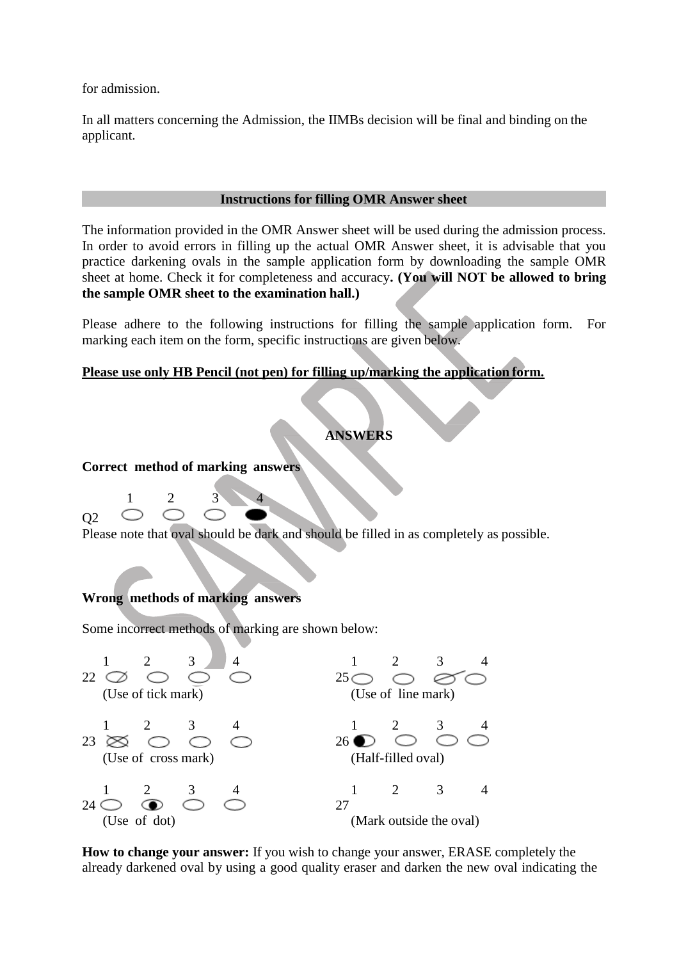for admission.

In all matters concerning the Admission, the IIMBs decision will be final and binding on the applicant.

#### **Instructions for filling OMR Answer sheet**

The information provided in the OMR Answer sheet will be used during the admission process. In order to avoid errors in filling up the actual OMR Answer sheet, it is advisable that you practice darkening ovals in the sample application form by downloading the sample OMR sheet at home. Check it for completeness and accuracy**. (You will NOT be allowed to bring the sample OMR sheet to the examination hall.)**

Please adhere to the following instructions for filling the sample application form. For marking each item on the form, specific instructions are given below.

### **Please use only HB Pencil (not pen) for filling up/marking the application form.**

## **ANSWERS**

**Correct method of marking answers**

1 2 3 4 Q2

Please note that oval should be dark and should be filled in as completely as possible.

## **Wrong methods of marking answers**

Some incorrect methods of marking are shown below:



**How to change your answer:** If you wish to change your answer, ERASE completely the already darkened oval by using a good quality eraser and darken the new oval indicating the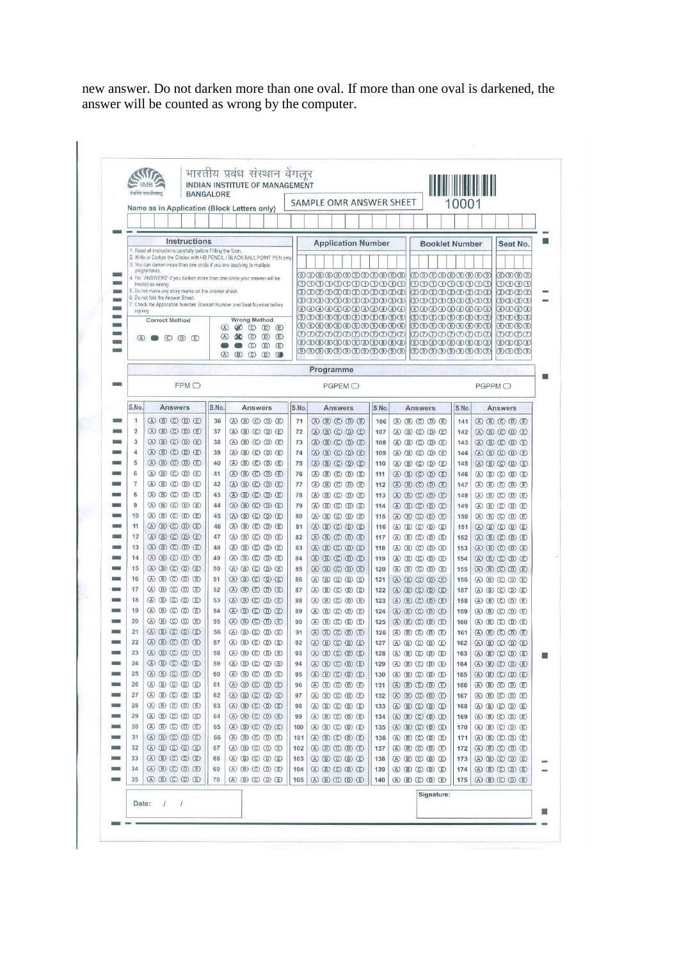new answer. Do not darken more than one oval. If more than one oval is darkened, the answer will be counted as wrong by the computer.

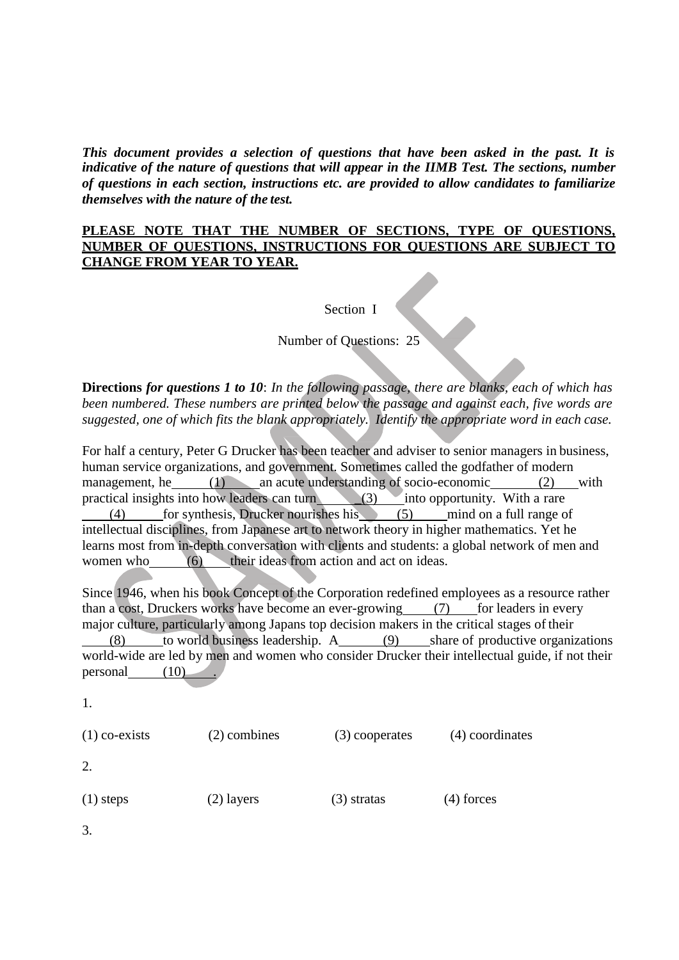*This document provides a selection of questions that have been asked in the past. It is indicative of the nature of questions that will appear in the IIMB Test. The sections, number of questions in each section, instructions etc. are provided to allow candidates to familiarize themselves with the nature of the test.*

## **PLEASE NOTE THAT THE NUMBER OF SECTIONS, TYPE OF QUESTIONS, NUMBER OF QUESTIONS, INSTRUCTIONS FOR QUESTIONS ARE SUBJECT TO CHANGE FROM YEAR TO YEAR.**

Section I

Number of Questions: 25

**Directions** *for questions 1 to 10*: *In the following passage, there are blanks, each of which has been numbered. These numbers are printed below the passage and against each, five words are suggested, one of which fits the blank appropriately. Identify the appropriate word in each case.*

For half a century, Peter G Drucker has been teacher and adviser to senior managers in business, human service organizations, and government. Sometimes called the godfather of modern management, he  $\frac{(1)}{\text{par}}$  an acute understanding of socio-economic  $\frac{(2)}{\text{with}}$  with practical insights into how leaders can turn  $\frac{(3)}{\text{the}}$  into opportunity. With a rare practical insights into how leaders can turn  $(3)$ (4) for synthesis, Drucker nourishes his (5) mind on a full range of intellectual disciplines, from Japanese art to network theory in higher mathematics. Yet he learns most from in-depth conversation with clients and students: a global network of men and women who (6) their ideas from action and act on ideas.

Since 1946, when his book Concept of the Corporation redefined employees as a resource rather than a cost, Druckers works have become an ever-growing  $(7)$  for leaders in every major culture, particularly among Japans top decision makers in the critical stages of their (8) to world business leadership. A (9) share of productive organizations world-wide are led by men and women who consider Drucker their intellectual guide, if not their personal (10) .

1.

| $(1)$ co-exists | (2) combines | (3) cooperates | (4) coordinates |  |
|-----------------|--------------|----------------|-----------------|--|
| 2.              |              |                |                 |  |
| $(1)$ steps     | $(2)$ layers | $(3)$ stratas  | $(4)$ forces    |  |

3.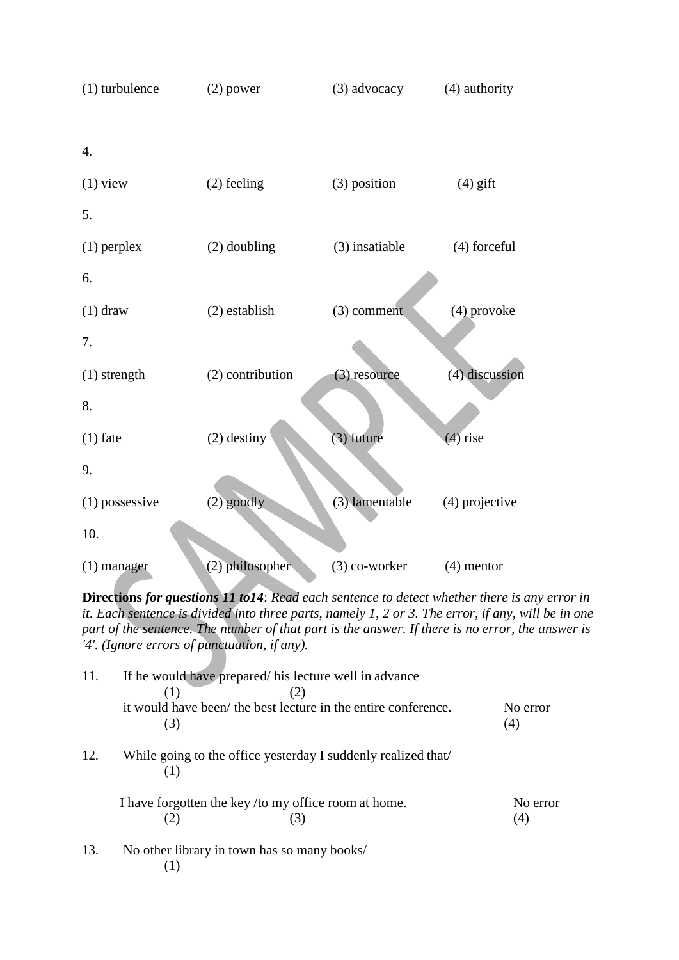

**Directions** *for questions 11 to14*: *Read each sentence to detect whether there is any error in it. Each sentence is divided into three parts, namely 1, 2 or 3. The error, if any, will be in one part of the sentence. The number of that part is the answer. If there is no error, the answer is '4'. (Ignore errors of punctuation, if any).*

| 11. | If he would have prepared/ his lecture well in advance<br>(1)         |                 |
|-----|-----------------------------------------------------------------------|-----------------|
|     | it would have been/ the best lecture in the entire conference.<br>(3) | No error<br>(4) |
| 12. | While going to the office yesterday I suddenly realized that          |                 |
|     | I have forgotten the key/to my office room at home.                   | No error<br>(4) |
| 13. | No other library in town has so many books/<br>$\sim$ $\sim$          |                 |

(1)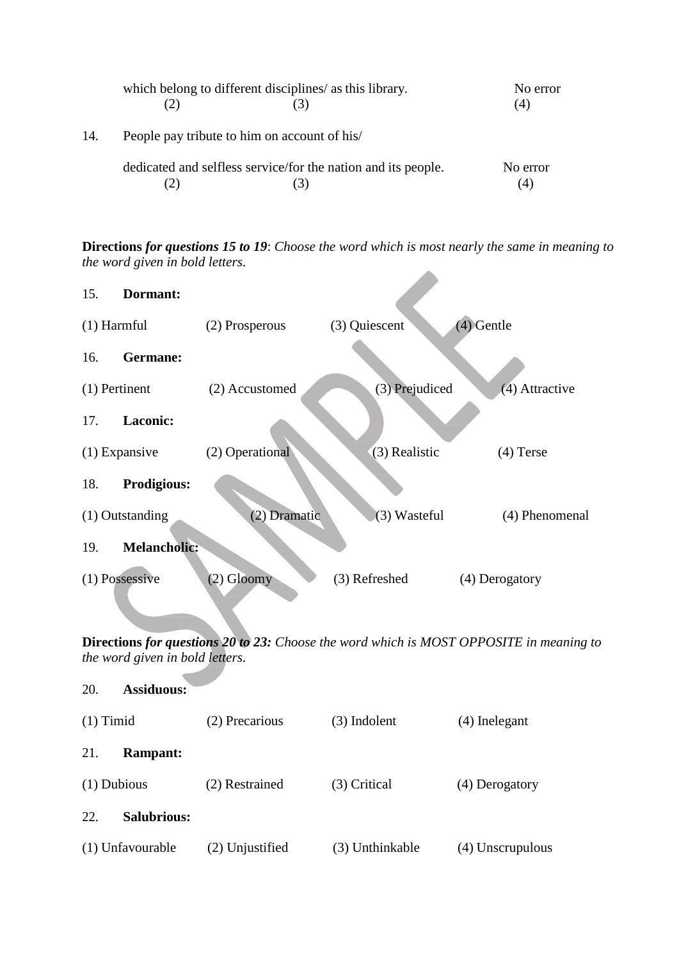|     | which belong to different disciplines/ as this library.       | No error<br>(4) |
|-----|---------------------------------------------------------------|-----------------|
| 14. | People pay tribute to him on account of his/                  |                 |
|     | dedicated and selfless service/for the nation and its people. | No error<br>(4) |

**Directions** *for questions 15 to 19*: *Choose the word which is most nearly the same in meaning to the word given in bold letters.*

**A** 

| 15.             | Dormant:            |                 |                  |                |
|-----------------|---------------------|-----------------|------------------|----------------|
| $(1)$ Harmful   |                     | (2) Prosperous  | (3) Quiescent    | (4) Gentle     |
| 16.             | Germane:            |                 |                  |                |
| $(1)$ Pertinent |                     | (2) Accustomed  | $(3)$ Prejudiced | (4) Attractive |
| 17.             | <b>Laconic:</b>     |                 |                  |                |
|                 | $(1)$ Expansive     | (2) Operational | (3) Realistic    | $(4)$ Terse    |
| 18.             | <b>Prodigious:</b>  |                 |                  |                |
|                 | $(1)$ Outstanding   | (2)<br>Dramatic | (3) Wasteful     | (4) Phenomenal |
| 19.             | <b>Melancholic:</b> |                 |                  |                |
|                 | $(1)$ Possessive    | $(2)$ Gloomy    | (3) Refreshed    | (4) Derogatory |

**Directions** *for questions 20 to 23: Choose the word which is MOST OPPOSITE in meaning to the word given in bold letters.*

| 20.           | <b>Assiduous:</b>  |                 |                 |                  |
|---------------|--------------------|-----------------|-----------------|------------------|
| $(1)$ Timid   |                    | (2) Precarious  | (3) Indolent    | (4) Inelegant    |
| 21.           | <b>Rampant:</b>    |                 |                 |                  |
| $(1)$ Dubious |                    | (2) Restrained  | (3) Critical    | (4) Derogatory   |
| 22.           | <b>Salubrious:</b> |                 |                 |                  |
|               | (1) Unfavourable   | (2) Unjustified | (3) Unthinkable | (4) Unscrupulous |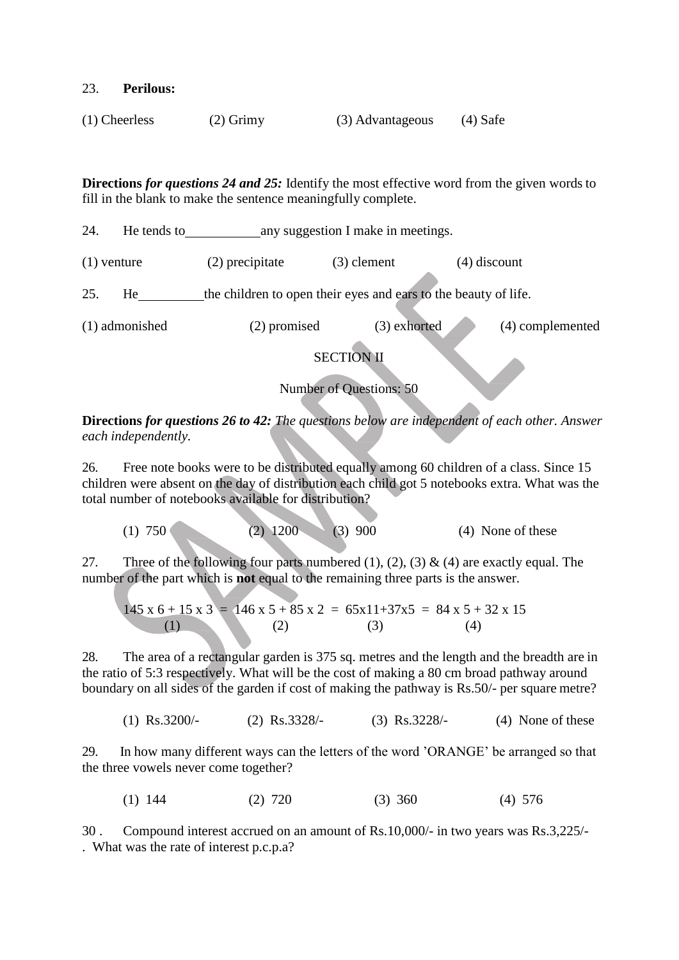#### 23. **Perilous:**

| $(1)$ Cheerless | $(2)$ Grimy | (3) Advantageous | $(4)$ Safe |
|-----------------|-------------|------------------|------------|
|-----------------|-------------|------------------|------------|

**Directions** *for questions 24 and 25:* Identify the most effective word from the given words to fill in the blank to make the sentence meaningfully complete.

24. He tends to any suggestion I make in meetings. (1) venture (2) precipitate (3) clement (4) discount 25. He the children to open their eyes and ears to the beauty of life. (1) admonished (2) promised (3) exhorted (4) complemented SECTION II

Number of Questions: 50

**Directions** *for questions 26 to 42: The questions below are independent of each other. Answer each independently.*

26. Free note books were to be distributed equally among 60 children of a class. Since 15 children were absent on the day of distribution each child got 5 notebooks extra. What was the total number of notebooks available for distribution?

(1) 750 (2) 1200 (3) 900 (4) None of these

27. Three of the following four parts numbered (1), (2), (3) & (4) are exactly equal. The number of the part which is **not** equal to the remaining three parts is the answer.

$$
145 \times 6 + 15 \times 3 = 146 \times 5 + 85 \times 2 = 65 \times 11 + 37 \times 5 = 84 \times 5 + 32 \times 15
$$
  
(1) (2) (3) (4)

28. The area of a rectangular garden is 375 sq. metres and the length and the breadth are in the ratio of 5:3 respectively. What will be the cost of making a 80 cm broad pathway around boundary on all sides of the garden if cost of making the pathway is Rs.50/- per square metre?

(1) Rs.3200/- (2) Rs.3328/- (3) Rs.3228/- (4) None of these

29. In how many different ways can the letters of the word 'ORANGE' be arranged so that the three vowels never come together?

$$
(1) 144 \t(2) 720 \t(3) 360 \t(4) 576
$$

30 . Compound interest accrued on an amount of Rs.10,000/- in two years was Rs.3,225/- . What was the rate of interest p.c.p.a?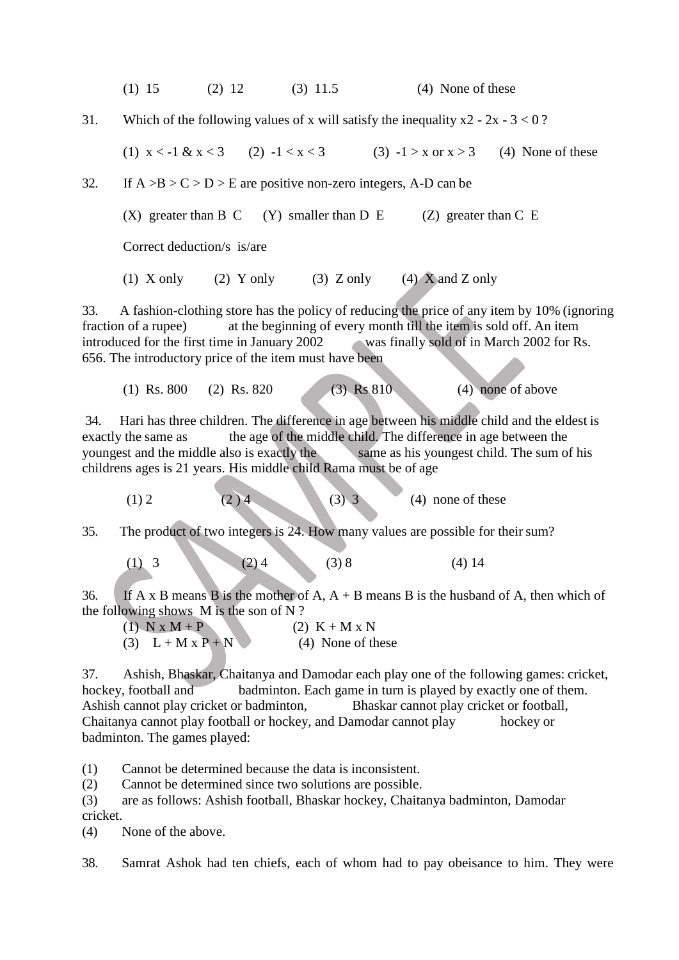(1) 15 (2) 12 (3) 11.5 (4) None of these

31. Which of the following values of x will satisfy the inequality  $x^2 - 2x - 3 < 0$ ?

(1)  $x < -1$  &  $x < 3$  (2)  $-1 < x < 3$  (3)  $-1 > x$  or  $x > 3$  (4) None of these

32. If  $A > B > C > D > E$  are positive non-zero integers, A-D can be

(X) greater than B C (Y) smaller than D E (Z) greater than C E

Correct deduction/s is/are

(1) X only (2) Y only (3) Z only (4) X and Z only

33. A fashion-clothing store has the policy of reducing the price of any item by 10% (ignoring fraction of a rupee) at the beginning of every month till the item is sold off. An item introduced for the first time in January 2002 was finally sold of in March 2002 for Rs. 656. The introductory price of the item must have been

(1) Rs. 800 (2) Rs. 820 (3) Rs 810 (4) none of above

34. Hari has three children. The difference in age between his middle child and the eldest is exactly the same as the age of the middle child. The difference in age between the youngest and the middle also is exactly the same as his youngest child. The sum of his childrens ages is 21 years. His middle child Rama must be of age

(1) 2 (2) 4 (3) 3 (4) none of these

35. The product of two integers is 24. How many values are possible for theirsum?

(1) 3 (2) 4 (3) 8 (4) 14

36. If A x B means B is the mother of A,  $A + B$  means B is the husband of A, then which of the following shows M is the son of N ?

| $(1)$ N x M + P      | $(2)$ K + M x N   |
|----------------------|-------------------|
| (3) $L+M \times P+N$ | (4) None of these |

37. Ashish, Bhaskar, Chaitanya and Damodar each play one of the following games: cricket, hockey, football and badminton. Each game in turn is played by exactly one of them. Ashish cannot play cricket or badminton, Bhaskar cannot play cricket or football, Chaitanya cannot play football or hockey, and Damodar cannot play hockey or badminton. The games played:

(1) Cannot be determined because the data is inconsistent.

(2) Cannot be determined since two solutions are possible.

(3) are as follows: Ashish football, Bhaskar hockey, Chaitanya badminton, Damodar cricket.

(4) None of the above.

38. Samrat Ashok had ten chiefs, each of whom had to pay obeisance to him. They were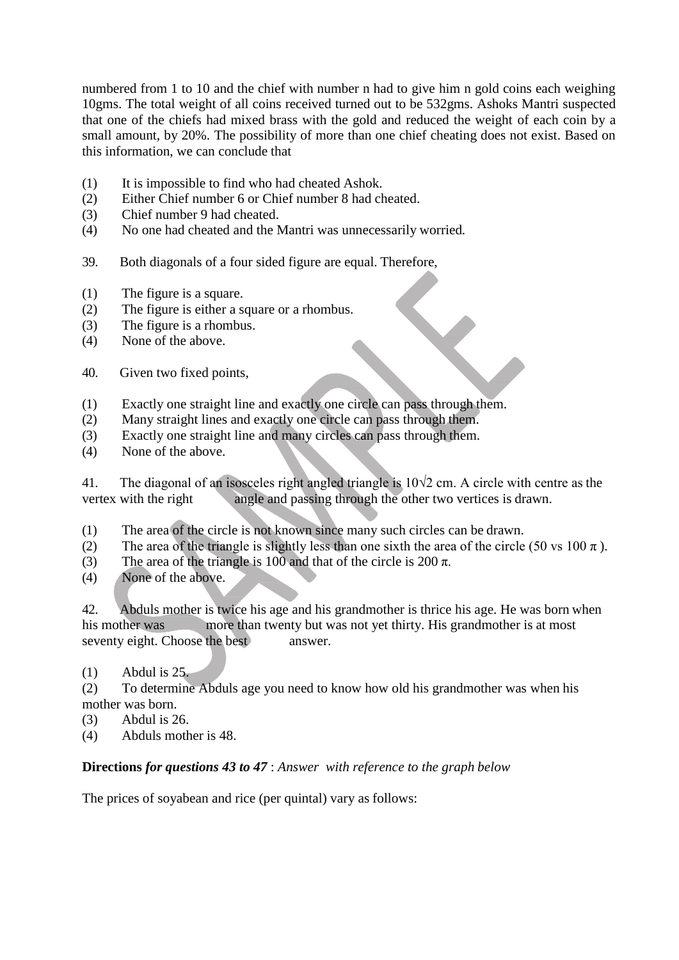numbered from 1 to 10 and the chief with number n had to give him n gold coins each weighing 10gms. The total weight of all coins received turned out to be 532gms. Ashoks Mantri suspected that one of the chiefs had mixed brass with the gold and reduced the weight of each coin by a small amount, by 20%. The possibility of more than one chief cheating does not exist. Based on this information, we can conclude that

- (1) It is impossible to find who had cheated Ashok.
- (2) Either Chief number 6 or Chief number 8 had cheated.
- (3) Chief number 9 had cheated.
- (4) No one had cheated and the Mantri was unnecessarily worried*.*
- 39. Both diagonals of a four sided figure are equal. Therefore,
- (1) The figure is a square.
- (2) The figure is either a square or a rhombus.
- (3) The figure is a rhombus.
- (4) None of the above.
- 40. Given two fixed points,
- (1) Exactly one straight line and exactly one circle can pass through them.
- (2) Many straight lines and exactly one circle can pass through them.
- (3) Exactly one straight line and many circles can pass through them.
- (4) None of the above.

41. The diagonal of an isosceles right angled triangle is 10√2 cm. A circle with centre as the vertex with the right angle and passing through the other two vertices is drawn.

- (1) The area of the circle is not known since many such circles can be drawn.
- (2) The area of the triangle is slightly less than one sixth the area of the circle (50 vs 100  $\pi$ ).
- (3) The area of the triangle is 100 and that of the circle is 200  $\pi$ .
- (4) None of the above.

42. Abduls mother is twice his age and his grandmother is thrice his age. He was born when his mother was more than twenty but was not yet thirty. His grandmother is at most seventy eight. Choose the best answer.

(1) Abdul is 25.

(2) To determine Abduls age you need to know how old his grandmother was when his mother was born.

- (3) Abdul is 26.
- (4) Abduls mother is 48.

# **Directions** *for questions 43 to 47* : *Answer with reference to the graph below*

The prices of soyabean and rice (per quintal) vary as follows: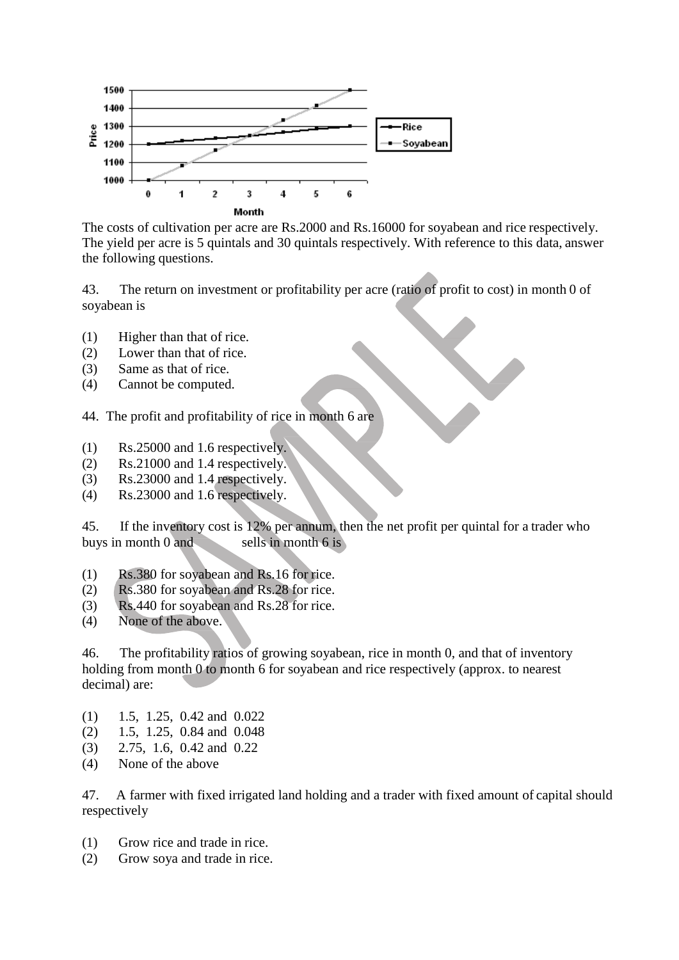

The costs of cultivation per acre are Rs.2000 and Rs.16000 for soyabean and rice respectively. The yield per acre is 5 quintals and 30 quintals respectively. With reference to this data, answer the following questions.

43. The return on investment or profitability per acre (ratio of profit to cost) in month 0 of soyabean is

- (1) Higher than that of rice.
- (2) Lower than that of rice.
- (3) Same as that of rice.
- (4) Cannot be computed.
- 44. The profit and profitability of rice in month 6 are
- (1) Rs.25000 and 1.6 respectively.
- (2) Rs.21000 and 1.4 respectively.
- (3) Rs.23000 and 1.4 respectively.
- (4) Rs.23000 and 1.6 respectively.

45. If the inventory cost is 12% per annum, then the net profit per quintal for a trader who buys in month 0 and sells in month 6 is

- (1) Rs.380 for soyabean and Rs.16 for rice.
- (2) Rs.380 for soyabean and Rs.28 for rice.
- (3) Rs.440 for soyabean and Rs.28 for rice.
- (4) None of the above.

46. The profitability ratios of growing soyabean, rice in month 0, and that of inventory holding from month 0 to month 6 for soyabean and rice respectively (approx. to nearest decimal) are:

- (1) 1.5, 1.25, 0.42 and 0.022
- (2) 1.5, 1.25, 0.84 and 0.048
- (3) 2.75, 1.6, 0.42 and 0.22
- (4) None of the above

47. A farmer with fixed irrigated land holding and a trader with fixed amount of capital should respectively

- (1) Grow rice and trade in rice.
- (2) Grow soya and trade in rice.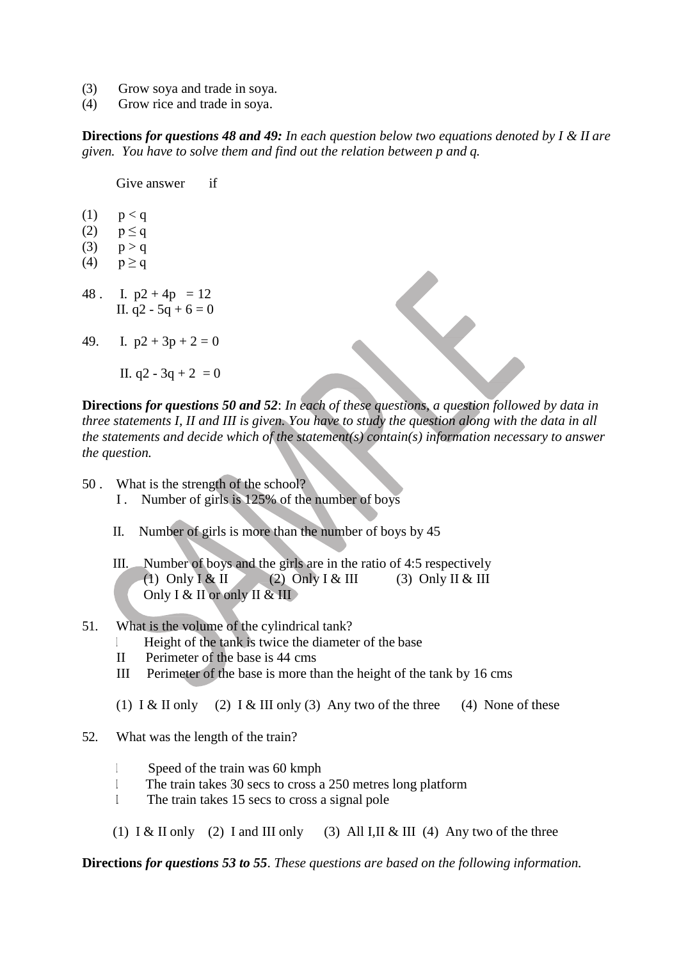- (3) Grow soya and trade in soya.
- (4) Grow rice and trade in soya.

**Directions** *for questions 48 and 49: In each question below two equations denoted by I & II are given. You have to solve them and find out the relation between p and q.*

Give answer if

- $(1)$   $p < q$
- $(2)$   $p \leq q$
- (3)  $p > q$
- (4)  $p \ge q$
- 48. I.  $p2 + 4p = 12$ II.  $q2 - 5q + 6 = 0$
- 49. I.  $p2 + 3p + 2 = 0$

II.  $q2 - 3q + 2 = 0$ 

**Directions** *for questions 50 and 52*: *In each of these questions, a question followed by data in three statements I, II and III is given. You have to study the question along with the data in all the statements and decide which of the statement(s) contain(s) information necessary to answer the question.*

- 50 . What is the strength of the school?
	- I . Number of girls is 125% of the number of boys
	- II. Number of girls is more than the number of boys by 45
	- III. Number of boys and the girls are in the ratio of 4:5 respectively (1) Only I & II (2) Only I & III (3) Only II & III Only I & II or only II & III

### 51. What is the volume of the cylindrical tank?

- I. Height of the tank is twice the diameter of the base
- II Perimeter of the base is 44 cms
- III Perimeter of the base is more than the height of the tank by 16 cms
- (1) I & II only (2) I & III only (3) Any two of the three (4) None of these
- 52. What was the length of the train?
	- I. Speed of the train was 60 kmph
	- II. The train takes 30 secs to cross a 250 metres long platform
	- I The train takes 15 secs to cross a signal pole
	- (1) I & II only (2) I and III only (3) All I, II & III (4) Any two of the three

**Directions** *for questions 53 to 55*. *These questions are based on the following information.*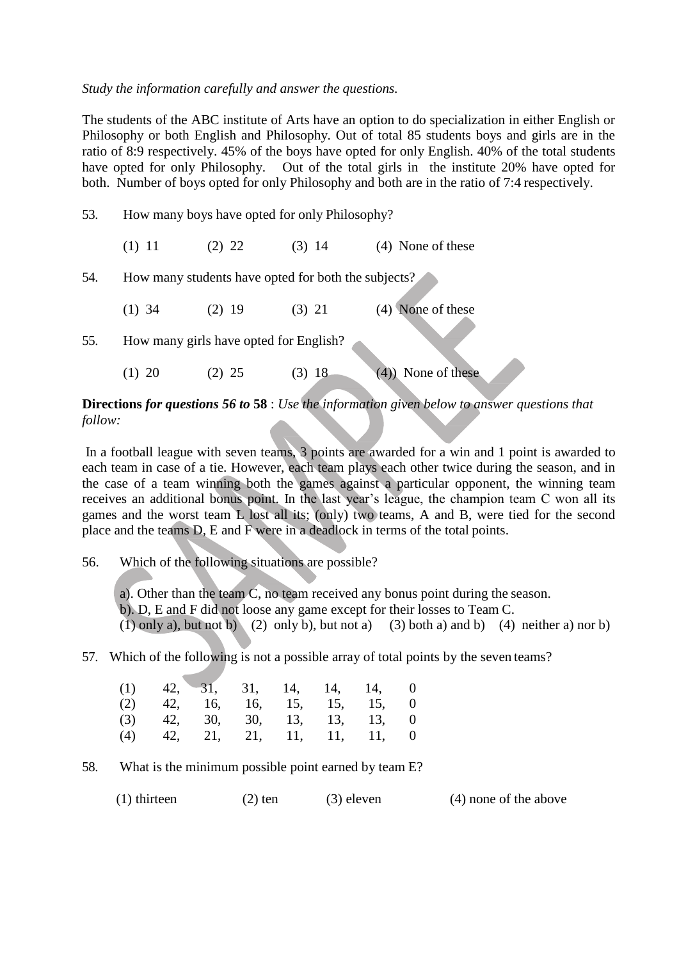#### *Study the information carefully and answer the questions.*

The students of the ABC institute of Arts have an option to do specialization in either English or Philosophy or both English and Philosophy. Out of total 85 students boys and girls are in the ratio of 8:9 respectively. 45% of the boys have opted for only English. 40% of the total students have opted for only Philosophy. Out of the total girls in the institute 20% have opted for both. Number of boys opted for only Philosophy and both are in the ratio of 7:4 respectively.

53. How many boys have opted for only Philosophy? (1) 11 (2) 22 (3) 14 (4) None of these 54. How many students have opted for both the subjects? (1) 34 (2) 19 (3) 21 (4) None of these 55. How many girls have opted for English? (1) 20 (2) 25 (3) 18 (4)) None of these

## **Directions** *for questions 56 to* **58** : *Use the information given below to answer questions that follow:*

In a football league with seven teams, 3 points are awarded for a win and 1 point is awarded to each team in case of a tie. However, each team plays each other twice during the season, and in the case of a team winning both the games against a particular opponent, the winning team receives an additional bonus point. In the last year's league, the champion team C won all its games and the worst team L lost all its; (only) two teams, A and B, were tied for the second place and the teams D, E and F were in a deadlock in terms of the total points.

56. Which of the following situations are possible?

a). Other than the team C, no team received any bonus point during the season. b). D, E and F did not loose any game except for their losses to Team C.  $(1)$  only a), but not b)  $(2)$  only b), but not a)  $(3)$  both a) and b)  $(4)$  neither a) nor b)

57. Which of the following is not a possible array of total points by the seven teams?

|  |  |  | $(1)$ 42, 31, 31, 14, 14, 14, 0 |  |
|--|--|--|---------------------------------|--|
|  |  |  | $(2)$ 42, 16, 16, 15, 15, 15, 0 |  |
|  |  |  | $(3)$ 42, 30, 30, 13, 13, 13, 0 |  |
|  |  |  | $(4)$ 42, 21, 21, 11, 11, 11, 0 |  |

58. What is the minimum possible point earned by team E?

(1) thirteen (2) ten (3) eleven (4) none of the above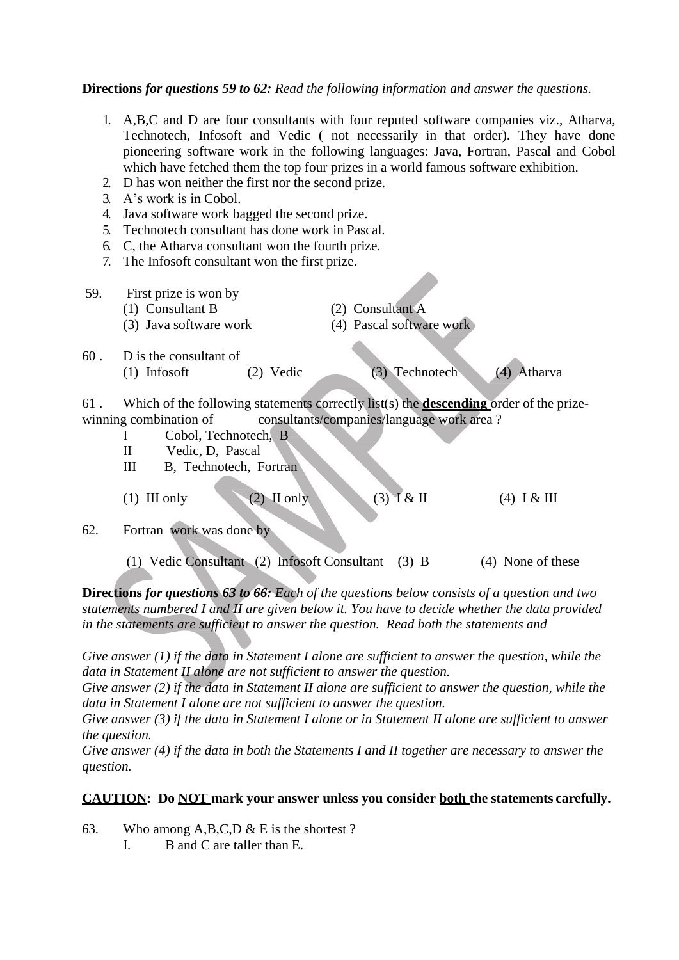### **Directions** *for questions 59 to 62: Read the following information and answer the questions.*

- 1. A,B,C and D are four consultants with four reputed software companies viz., Atharva, Technotech, Infosoft and Vedic ( not necessarily in that order). They have done pioneering software work in the following languages: Java, Fortran, Pascal and Cobol which have fetched them the top four prizes in a world famous software exhibition.
- 2. D has won neither the first nor the second prize.
- 3. A's work is in Cobol.
- 4. Java software work bagged the second prize.
- 5. Technotech consultant has done work in Pascal.
- 6. C, the Atharva consultant won the fourth prize.
- 7. The Infosoft consultant won the first prize.
- 59. First prize is won by (1) Consultant B (2) Consultant A (3) Java software work (4) Pascal software work
- 60 . D is the consultant of (1) Infosoft (2) Vedic (3) Technotech (4) Atharva

61 . Which of the following statements correctly list(s) the **descending** order of the prizewinning combination of consultants/companies/language work area?

- I Cobol, Technotech, B
- II Vedic, D, Pascal
- III B, Technotech, Fortran
- (1) III only (2) II only (3)  $1 & 11 \ (4) & 1 & 11 \ (5)$
- 62. Fortran work was done by
	- (1) Vedic Consultant (2) Infosoft Consultant (3) B (4) None of these

**Directions** *for questions 63 to 66: Each of the questions below consists of a question and two statements numbered I and II are given below it. You have to decide whether the data provided in the statements are sufficient to answer the question. Read both the statements and* 

*Give answer (1) if the data in Statement I alone are sufficient to answer the question, while the data in Statement II alone are not sufficient to answer the question.*

*Give answer (2) if the data in Statement II alone are sufficient to answer the question, while the data in Statement I alone are not sufficient to answer the question.*

*Give answer (3) if the data in Statement I alone or in Statement II alone are sufficient to answer the question.*

*Give answer (4) if the data in both the Statements I and II together are necessary to answer the question.*

#### **CAUTION: Do NOT mark your answer unless you consider both the statements carefully.**

- 63. Who among  $A, B, C, D \& E$  is the shortest ?
	- I. B and C are taller than E.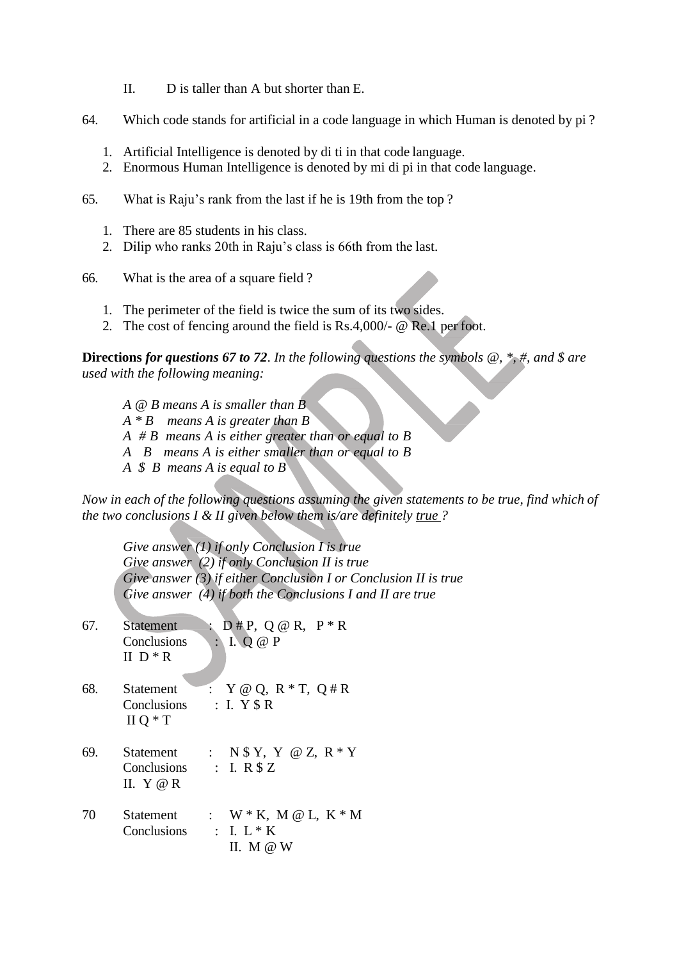- II. D is taller than A but shorter than E.
- 64. Which code stands for artificial in a code language in which Human is denoted by pi ?
	- 1. Artificial Intelligence is denoted by di ti in that code language.
	- 2. Enormous Human Intelligence is denoted by mi di pi in that code language.
- 65. What is Raju's rank from the last if he is 19th from the top ?
	- 1. There are 85 students in his class.
	- 2. Dilip who ranks 20th in Raju's class is 66th from the last.

66. What is the area of a square field ?

- 1. The perimeter of the field is twice the sum of its two sides.
- 2. The cost of fencing around the field is Rs.4,000/- @ Re.1 per foot.

**Directions** *for questions 67 to 72*. *In the following questions the symbols @, \*, #, and \$ are used with the following meaning:*

*A @ B means A is smaller than B A \* B means A is greater than B A # B means A is either greater than or equal to B A B means A is either smaller than or equal to B A \$ B means A is equal to B*

*Now in each of the following questions assuming the given statements to be true, find which of the two conclusions I & II given below them is/are definitely true ?*

*Give answer (1) if only Conclusion I is true Give answer (2) if only Conclusion II is true Give answer (3) if either Conclusion I or Conclusion II is true Give answer (4) if both the Conclusions I and II are true*

| 67. | <b>Statement</b><br>Conclusions<br>II $D * R$          | $D \# P$ , Q @ R, $P * R$<br>I. $Q @ P$                               |
|-----|--------------------------------------------------------|-----------------------------------------------------------------------|
| 68. | <b>Statement</b><br><b>Conclusions</b><br>$II$ O $*$ T | $Y \otimes Q$ , $R * T$ , $Q \# R$<br>$\therefore$ I. Y $\$$ R        |
| 69. | Statement<br>Conclusions<br>II. Y @ R                  | : N $Y, Y \otimes Z, R * Y$<br>$\therefore$ I. R $$Z$                 |
| 70  | Statement<br>Conclusions                               | : $W * K$ , $M @ L$ , $K * M$<br>$\therefore$ I. L $*$ K<br>II. M @ W |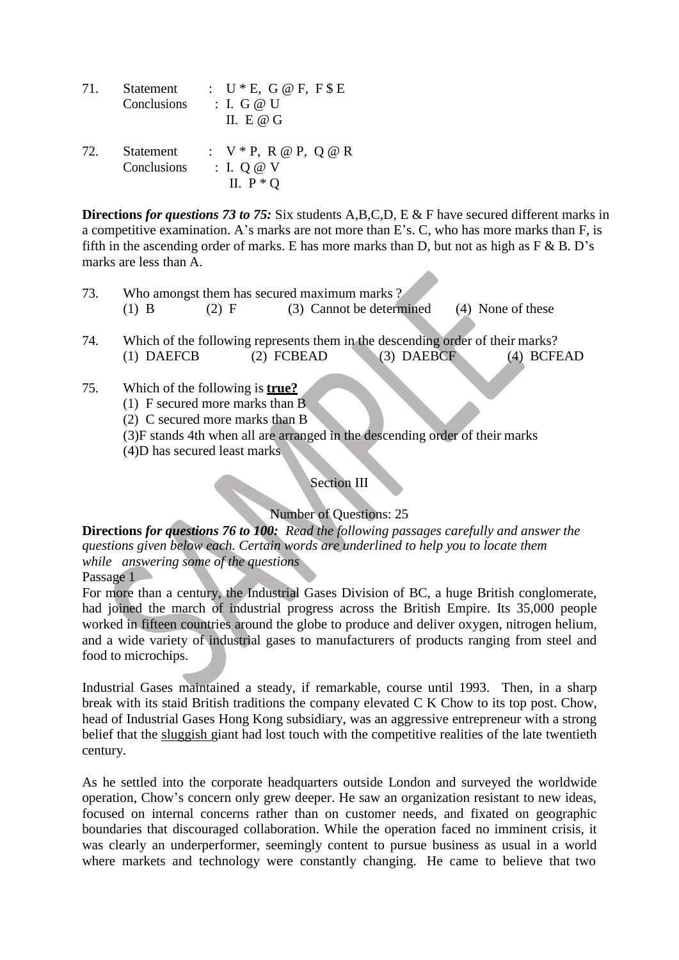| 71. | Statement<br>Conclusions | : $U * E$ , $G \otimes F$ , $F \$ E$<br>$\therefore$ I. G @ U<br>II. E @ $G$ |
|-----|--------------------------|------------------------------------------------------------------------------|
|     | 72 Statement             | $\cdot$ V * P R @ P O @ R                                                    |

 $72.$  Statement Conclusions : I. Q @ V II.  $P * O$ 

**Directions** *for questions 73 to 75:* Six students A,B,C,D, E & F have secured different marks in a competitive examination. A's marks are not more than E's. C, who has more marks than F, is fifth in the ascending order of marks. E has more marks than D, but not as high as  $F \& B$ . D's marks are less than A.

- 73. Who amongst them has secured maximum marks ? (1) B  $(2)$  F  $(3)$  Cannot be determined  $(4)$  None of these
- 74. Which of the following represents them in the descending order of their marks? (1) DAEFCB (2) FCBEAD (3) DAEBCF (4) BCFEAD
- 75. Which of the following is **true?**
	- (1) F secured more marks than B
	- (2) C secured more marks than B
	- (3)F stands 4th when all are arranged in the descending order of their marks
	- (4)D has secured least marks

# Section III

#### Number of Questions: 25

**Directions** *for questions 76 to 100: Read the following passages carefully and answer the questions given below each. Certain words are underlined to help you to locate them while answering some of the questions* Passage 1

For more than a century, the Industrial Gases Division of BC, a huge British conglomerate, had joined the march of industrial progress across the British Empire. Its 35,000 people worked in fifteen countries around the globe to produce and deliver oxygen, nitrogen helium, and a wide variety of industrial gases to manufacturers of products ranging from steel and food to microchips.

Industrial Gases maintained a steady, if remarkable, course until 1993. Then, in a sharp break with its staid British traditions the company elevated C K Chow to its top post. Chow, head of Industrial Gases Hong Kong subsidiary, was an aggressive entrepreneur with a strong belief that the sluggish giant had lost touch with the competitive realities of the late twentieth century.

As he settled into the corporate headquarters outside London and surveyed the worldwide operation, Chow's concern only grew deeper. He saw an organization resistant to new ideas, focused on internal concerns rather than on customer needs, and fixated on geographic boundaries that discouraged collaboration. While the operation faced no imminent crisis, it was clearly an underperformer, seemingly content to pursue business as usual in a world where markets and technology were constantly changing. He came to believe that two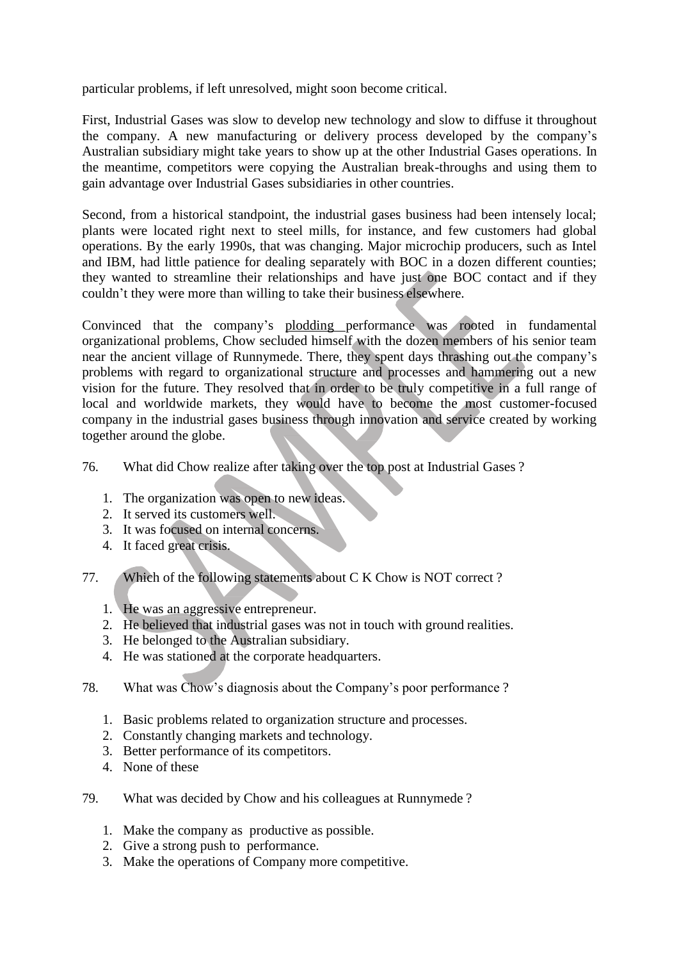particular problems, if left unresolved, might soon become critical.

First, Industrial Gases was slow to develop new technology and slow to diffuse it throughout the company. A new manufacturing or delivery process developed by the company's Australian subsidiary might take years to show up at the other Industrial Gases operations. In the meantime, competitors were copying the Australian break-throughs and using them to gain advantage over Industrial Gases subsidiaries in other countries.

Second, from a historical standpoint, the industrial gases business had been intensely local; plants were located right next to steel mills, for instance, and few customers had global operations. By the early 1990s, that was changing. Major microchip producers, such as Intel and IBM, had little patience for dealing separately with BOC in a dozen different counties; they wanted to streamline their relationships and have just one BOC contact and if they couldn't they were more than willing to take their business elsewhere.

Convinced that the company's plodding performance was rooted in fundamental organizational problems, Chow secluded himself with the dozen members of his senior team near the ancient village of Runnymede. There, they spent days thrashing out the company's problems with regard to organizational structure and processes and hammering out a new vision for the future. They resolved that in order to be truly competitive in a full range of local and worldwide markets, they would have to become the most customer-focused company in the industrial gases business through innovation and service created by working together around the globe.

76. What did Chow realize after taking over the top post at Industrial Gases ?

- 1. The organization was open to new ideas.
- 2. It served its customers well.
- 3. It was focused on internal concerns.
- 4. It faced great crisis.
- 77. Which of the following statements about C K Chow is NOT correct ?
	- 1. He was an aggressive entrepreneur.
	- 2. He believed that industrial gases was not in touch with ground realities.
	- 3. He belonged to the Australian subsidiary.
	- 4. He was stationed at the corporate headquarters.
- 78. What was Chow's diagnosis about the Company's poor performance ?
	- 1. Basic problems related to organization structure and processes.
	- 2. Constantly changing markets and technology.
	- 3. Better performance of its competitors.
	- 4. None of these
- 79. What was decided by Chow and his colleagues at Runnymede ?
	- 1. Make the company as productive as possible.
	- 2. Give a strong push to performance.
	- 3. Make the operations of Company more competitive.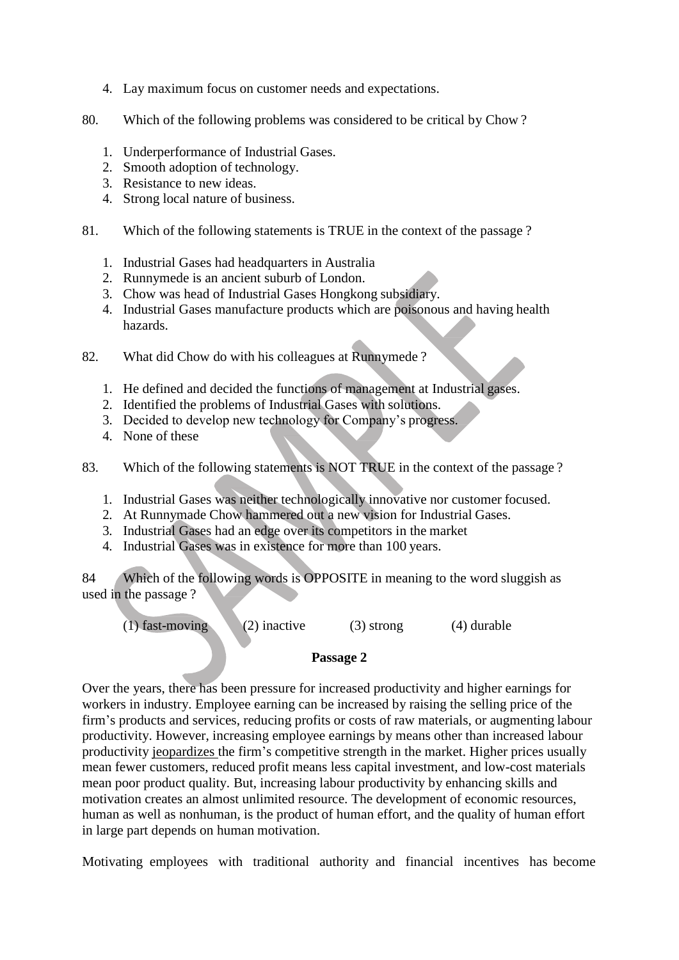- 4. Lay maximum focus on customer needs and expectations.
- 80. Which of the following problems was considered to be critical by Chow ?
	- 1. Underperformance of Industrial Gases.
	- 2. Smooth adoption of technology.
	- 3. Resistance to new ideas.
	- 4. Strong local nature of business.
- 81. Which of the following statements is TRUE in the context of the passage ?
	- 1. Industrial Gases had headquarters in Australia
	- 2. Runnymede is an ancient suburb of London.
	- 3. Chow was head of Industrial Gases Hongkong subsidiary.
	- 4. Industrial Gases manufacture products which are poisonous and having health hazards.
- 82. What did Chow do with his colleagues at Runnymede ?
	- 1. He defined and decided the functions of management at Industrial gases.
	- 2. Identified the problems of Industrial Gases with solutions.
	- 3. Decided to develop new technology for Company's progress.
	- 4. None of these
- 83. Which of the following statements is NOT TRUE in the context of the passage ?
	- 1. Industrial Gases was neither technologically innovative nor customer focused.
	- 2. At Runnymade Chow hammered out a new vision for Industrial Gases.
	- 3. Industrial Gases had an edge over its competitors in the market
	- 4. Industrial Gases was in existence for more than 100 years.

84 Which of the following words is OPPOSITE in meaning to the word sluggish as used in the passage ?

(1) fast-moving (2) inactive (3) strong (4) durable

#### **Passage 2**

Over the years, there has been pressure for increased productivity and higher earnings for workers in industry. Employee earning can be increased by raising the selling price of the firm's products and services, reducing profits or costs of raw materials, or augmenting labour productivity. However, increasing employee earnings by means other than increased labour productivity jeopardizes the firm's competitive strength in the market. Higher prices usually mean fewer customers, reduced profit means less capital investment, and low-cost materials mean poor product quality. But, increasing labour productivity by enhancing skills and motivation creates an almost unlimited resource. The development of economic resources, human as well as nonhuman, is the product of human effort, and the quality of human effort in large part depends on human motivation.

Motivating employees with traditional authority and financial incentives has become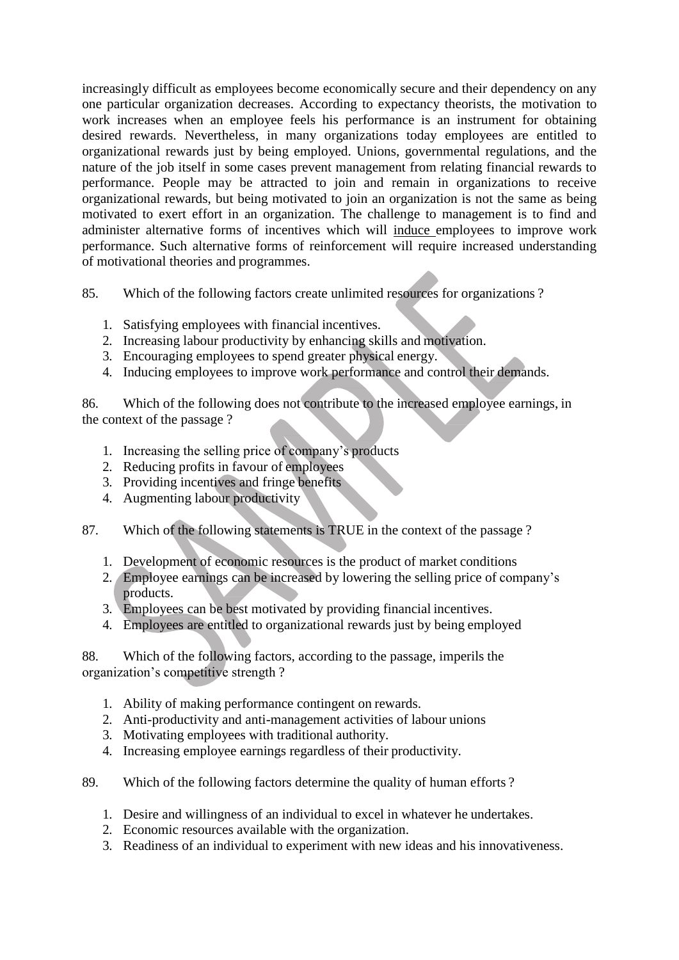increasingly difficult as employees become economically secure and their dependency on any one particular organization decreases. According to expectancy theorists, the motivation to work increases when an employee feels his performance is an instrument for obtaining desired rewards. Nevertheless, in many organizations today employees are entitled to organizational rewards just by being employed. Unions, governmental regulations, and the nature of the job itself in some cases prevent management from relating financial rewards to performance. People may be attracted to join and remain in organizations to receive organizational rewards, but being motivated to join an organization is not the same as being motivated to exert effort in an organization. The challenge to management is to find and administer alternative forms of incentives which will induce employees to improve work performance. Such alternative forms of reinforcement will require increased understanding of motivational theories and programmes.

- 85. Which of the following factors create unlimited resources for organizations ?
	- 1. Satisfying employees with financial incentives.
	- 2. Increasing labour productivity by enhancing skills and motivation.
	- 3. Encouraging employees to spend greater physical energy.
	- 4. Inducing employees to improve work performance and control their demands.

86. Which of the following does not contribute to the increased employee earnings, in the context of the passage ?

- 1. Increasing the selling price of company's products
- 2. Reducing profits in favour of employees
- 3. Providing incentives and fringe benefits
- 4. Augmenting labour productivity
- 87. Which of the following statements is TRUE in the context of the passage ?
	- 1. Development of economic resources is the product of market conditions
	- 2. Employee earnings can be increased by lowering the selling price of company's products.
	- 3. Employees can be best motivated by providing financial incentives.
	- 4. Employees are entitled to organizational rewards just by being employed

88. Which of the following factors, according to the passage, imperils the organization's competitive strength ?

- 1. Ability of making performance contingent on rewards.
- 2. Anti-productivity and anti-management activities of labour unions
- 3. Motivating employees with traditional authority.
- 4. Increasing employee earnings regardless of their productivity.
- 89. Which of the following factors determine the quality of human efforts ?
	- 1. Desire and willingness of an individual to excel in whatever he undertakes.
	- 2. Economic resources available with the organization.
	- 3. Readiness of an individual to experiment with new ideas and his innovativeness.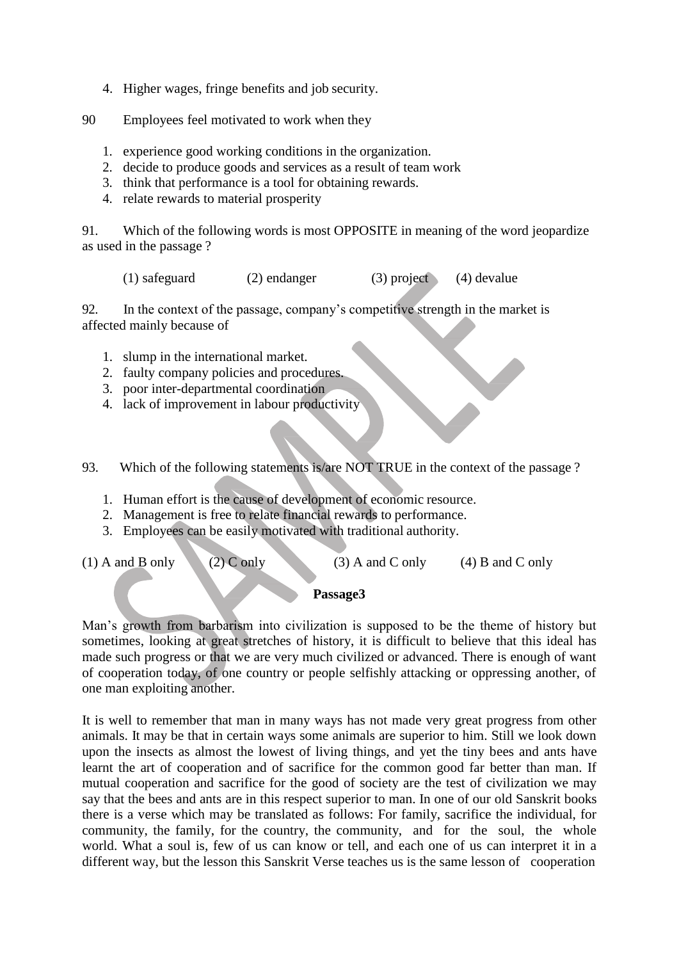- 4. Higher wages, fringe benefits and job security.
- 90 Employees feel motivated to work when they
	- 1. experience good working conditions in the organization.
	- 2. decide to produce goods and services as a result of team work
	- 3. think that performance is a tool for obtaining rewards.
	- 4. relate rewards to material prosperity

91. Which of the following words is most OPPOSITE in meaning of the word jeopardize as used in the passage ?

(1) safeguard (2) endanger (3) project (4) devalue

92. In the context of the passage, company's competitive strength in the market is affected mainly because of

- 1. slump in the international market.
- 2. faulty company policies and procedures.
- 3. poor inter-departmental coordination
- 4. lack of improvement in labour productivity

93. Which of the following statements is/are NOT TRUE in the context of the passage ?

- 1. Human effort is the cause of development of economic resource.
- 2. Management is free to relate financial rewards to performance.
- 3. Employees can be easily motivated with traditional authority.

(1) A and B only (2) C only (3) A and C only (4) B and C only

#### **Passage3**

Man's growth from barbarism into civilization is supposed to be the theme of history but sometimes, looking at great stretches of history, it is difficult to believe that this ideal has made such progress or that we are very much civilized or advanced. There is enough of want of cooperation today, of one country or people selfishly attacking or oppressing another, of one man exploiting another.

It is well to remember that man in many ways has not made very great progress from other animals. It may be that in certain ways some animals are superior to him. Still we look down upon the insects as almost the lowest of living things, and yet the tiny bees and ants have learnt the art of cooperation and of sacrifice for the common good far better than man. If mutual cooperation and sacrifice for the good of society are the test of civilization we may say that the bees and ants are in this respect superior to man. In one of our old Sanskrit books there is a verse which may be translated as follows: For family, sacrifice the individual, for community, the family, for the country, the community, and for the soul, the whole world. What a soul is, few of us can know or tell, and each one of us can interpret it in a different way, but the lesson this Sanskrit Verse teaches us is the same lesson of cooperation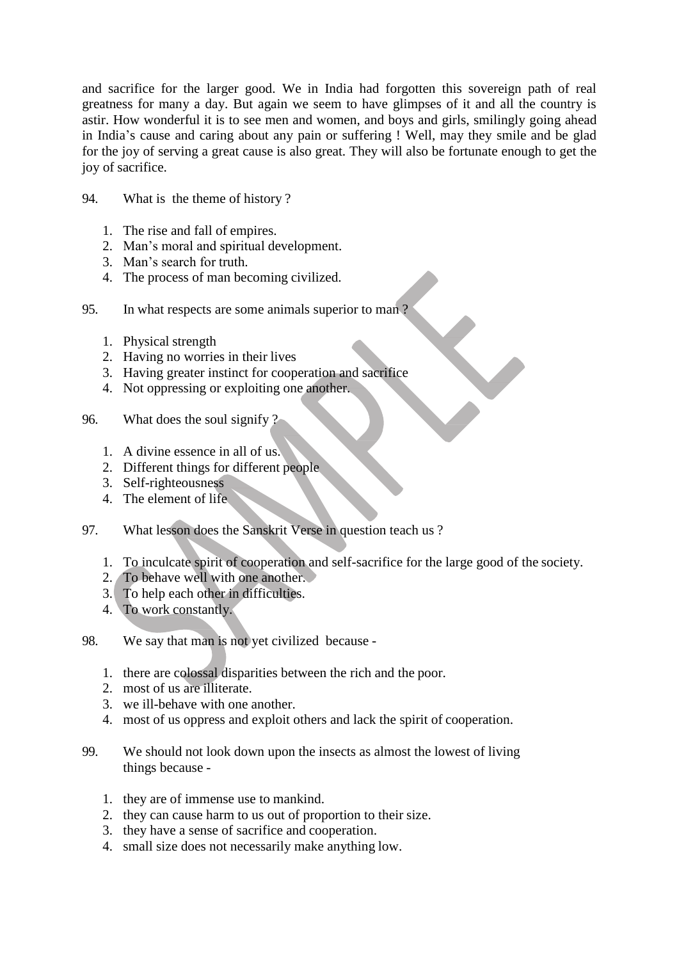and sacrifice for the larger good. We in India had forgotten this sovereign path of real greatness for many a day. But again we seem to have glimpses of it and all the country is astir. How wonderful it is to see men and women, and boys and girls, smilingly going ahead in India's cause and caring about any pain or suffering ! Well, may they smile and be glad for the joy of serving a great cause is also great. They will also be fortunate enough to get the joy of sacrifice.

- 94. What is the theme of history ?
	- 1. The rise and fall of empires.
	- 2. Man's moral and spiritual development.
	- 3. Man's search for truth.
	- 4. The process of man becoming civilized.
- 95. In what respects are some animals superior to man ?
	- 1. Physical strength
	- 2. Having no worries in their lives
	- 3. Having greater instinct for cooperation and sacrifice
	- 4. Not oppressing or exploiting one another.
- 96. What does the soul signify ?
	- 1. A divine essence in all of us.
	- 2. Different things for different people
	- 3. Self-righteousness
	- 4. The element of life
- 97. What lesson does the Sanskrit Verse in question teach us ?
	- 1. To inculcate spirit of cooperation and self-sacrifice for the large good of the society.
	- 2. To behave well with one another.
	- 3. To help each other in difficulties.
	- 4. To work constantly.
- 98. We say that man is not yet civilized because
	- 1. there are colossal disparities between the rich and the poor.
	- 2. most of us are illiterate.
	- 3. we ill-behave with one another.
	- 4. most of us oppress and exploit others and lack the spirit of cooperation.
- 99. We should not look down upon the insects as almost the lowest of living things because -
	- 1. they are of immense use to mankind.
	- 2. they can cause harm to us out of proportion to their size.
	- 3. they have a sense of sacrifice and cooperation.
	- 4. small size does not necessarily make anything low.